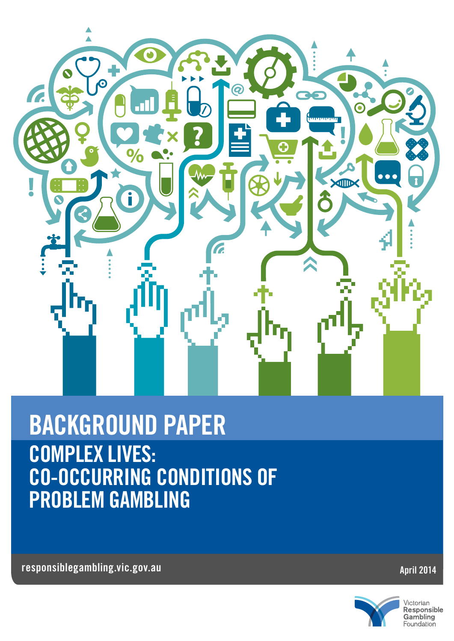

## COMPLEX LIVES: CO-OCCURRING CONDITIONS OF PROBLEM GAMBLING BACKGROUND PAPER

responsiblegambling.vic.gov.au April 2014



Victorian<br>**Responsible**<br>Gambling Foundation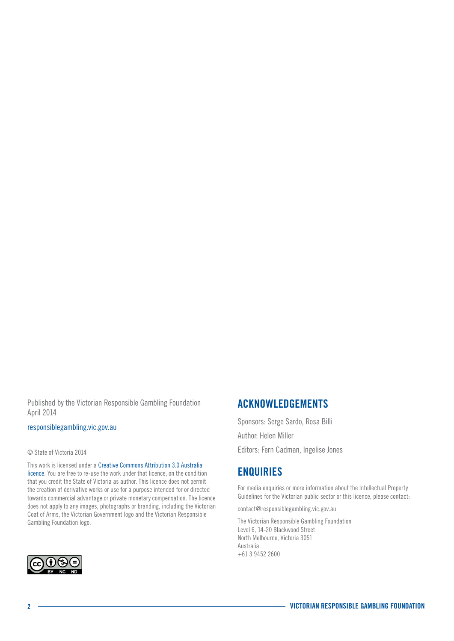Published by the Victorian Responsible Gambling Foundation April 2014

#### [responsiblegambling.vic.gov.au](http://www.responsiblegambling.vic.gov.au/)

#### © State of Victoria 2014

This work is licensed under a Creative Commons Attribution 3.0 Australia licence. You are free to re-use the work under that licence, on the condition that you credit the State of Victoria as author. This licence does not permit the creation of derivative works or use for a purpose intended for or directed towards commercial advantage or private monetary compensation. The licence does not apply to any images, photographs or branding, including the Victorian Coat of Arms, the Victorian Government logo and the Victorian Responsible Gambling Foundation logo.



## ACKNOWLEDGEMENTS

Sponsors: Serge Sardo, Rosa Billi Author: Helen Miller Editors: Fern Cadman, Ingelise Jones

### **ENQUIRIES**

For media enquiries or more information about the Intellectual Property Guidelines for the Victorian public sector or this licence, please contact:

contact@responsiblegambling.vic.gov.au

The Victorian Responsible Gambling Foundation Level 6, 14-20 Blackwood Street North Melbourne, Victoria 3051 Australia +61 3 9452 2600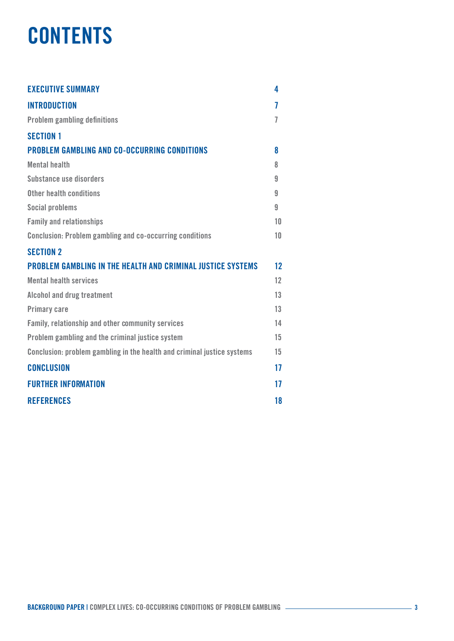## **CONTENTS**

| <b>EXECUTIVE SUMMARY</b>                                                | 4  |
|-------------------------------------------------------------------------|----|
| <b>INTRODUCTION</b>                                                     | 7  |
| <b>Problem gambling definitions</b>                                     | 7  |
| <b>SECTION 1</b>                                                        |    |
| <b>PROBLEM GAMBLING AND CO-OCCURRING CONDITIONS</b>                     | 8  |
| <b>Mental health</b>                                                    | 8  |
| Substance use disorders                                                 | 9  |
| Other health conditions                                                 | 9  |
| <b>Social problems</b>                                                  | 9  |
| <b>Family and relationships</b>                                         | 10 |
| <b>Conclusion: Problem gambling and co-occurring conditions</b>         | 10 |
| <b>SECTION 2</b>                                                        |    |
| <b>PROBLEM GAMBLING IN THE HEALTH AND CRIMINAL JUSTICE SYSTEMS</b>      | 12 |
| <b>Mental health services</b>                                           | 12 |
| Alcohol and drug treatment                                              | 13 |
| <b>Primary care</b>                                                     | 13 |
| Family, relationship and other community services                       | 14 |
| Problem gambling and the criminal justice system                        | 15 |
| Conclusion: problem gambling in the health and criminal justice systems | 15 |
| <b>CONCLUSION</b>                                                       | 17 |
| <b>FURTHER INFORMATION</b>                                              | 17 |
| <b>REFERENCES</b>                                                       | 18 |
|                                                                         |    |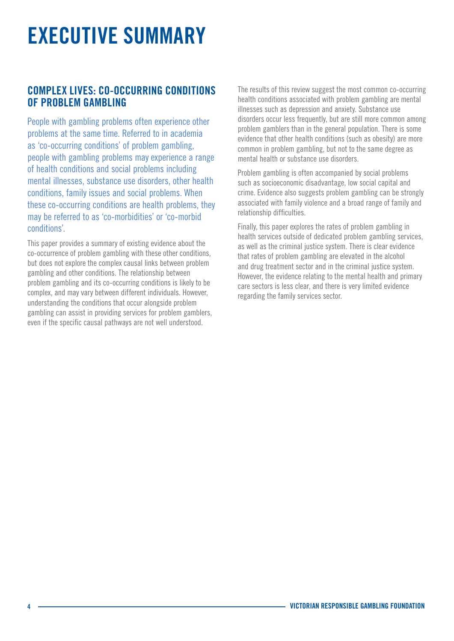# <span id="page-3-0"></span>EXECUTIVE SUMMARY

## COMPLEX LIVES: CO-OCCURRING CONDITIONS OF PROBLEM GAMBLING

People with gambling problems often experience other problems at the same time. Referred to in academia as 'co-occurring conditions' of problem gambling, people with gambling problems may experience a range of health conditions and social problems including mental illnesses, substance use disorders, other health conditions, family issues and social problems. When these co-occurring conditions are health problems, they may be referred to as 'co-morbidities' or 'co-morbid conditions'.

This paper provides a summary of existing evidence about the co-occurrence of problem gambling with these other conditions, but does not explore the complex causal links between problem gambling and other conditions. The relationship between problem gambling and its co-occurring conditions is likely to be complex, and may vary between different individuals. However, understanding the conditions that occur alongside problem gambling can assist in providing services for problem gamblers, even if the specific causal pathways are not well understood.

The results of this review suggest the most common co-occurring health conditions associated with problem gambling are mental illnesses such as depression and anxiety. Substance use disorders occur less frequently, but are still more common among problem gamblers than in the general population. There is some evidence that other health conditions (such as obesity) are more common in problem gambling, but not to the same degree as mental health or substance use disorders.

Problem gambling is often accompanied by social problems such as socioeconomic disadvantage, low social capital and crime. Evidence also suggests problem gambling can be strongly associated with family violence and a broad range of family and relationship difficulties.

Finally, this paper explores the rates of problem gambling in health services outside of dedicated problem gambling services, as well as the criminal justice system. There is clear evidence that rates of problem gambling are elevated in the alcohol and drug treatment sector and in the criminal justice system. However, the evidence relating to the mental health and primary care sectors is less clear, and there is very limited evidence regarding the family services sector.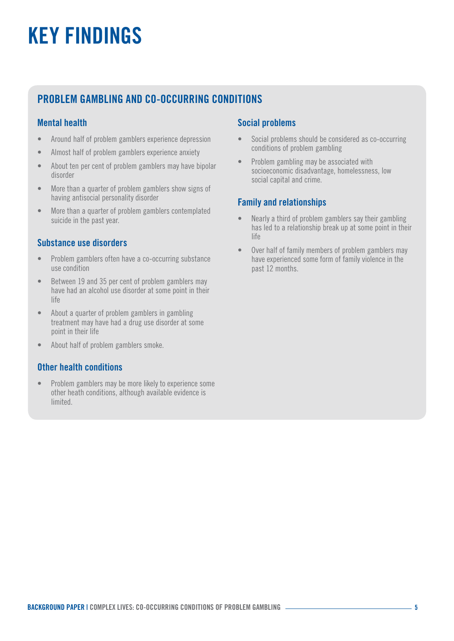# KEY FINDINGS

## PROBLEM GAMBLING AND CO-OCCURRING CONDITIONS

#### Mental health

- Around half of problem gamblers experience depression
- Almost half of problem gamblers experience anxiety
- About ten per cent of problem gamblers may have bipolar disorder
- More than a quarter of problem gamblers show signs of having antisocial personality disorder
- More than a quarter of problem gamblers contemplated suicide in the past year.

#### Substance use disorders

- Problem gamblers often have a co-occurring substance use condition
- Between 19 and 35 per cent of problem gamblers may have had an alcohol use disorder at some point in their life
- About a quarter of problem gamblers in gambling treatment may have had a drug use disorder at some point in their life
- About half of problem gamblers smoke.

#### Other health conditions

• Problem gamblers may be more likely to experience some other heath conditions, although available evidence is limited.

#### Social problems

- Social problems should be considered as co-occurring conditions of problem gambling
- Problem gambling may be associated with socioeconomic disadvantage, homelessness, low social capital and crime.

#### Family and relationships

- Nearly a third of problem gamblers say their gambling has led to a relationship break up at some point in their life
- Over half of family members of problem gamblers may have experienced some form of family violence in the past 12 months.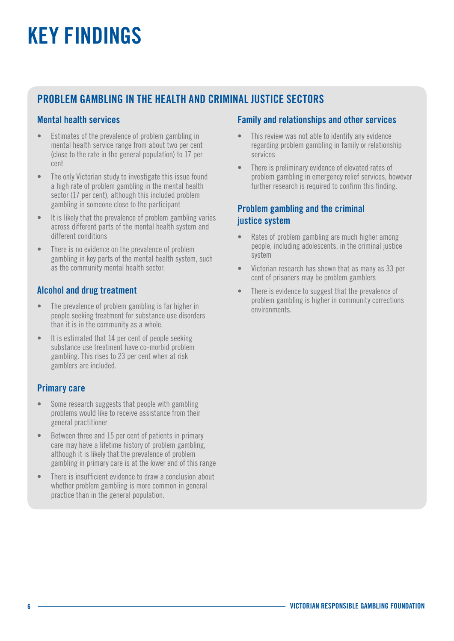# KEY FINDINGS

## PROBLEM GAMBLING IN THE HEALTH AND CRIMINAL JUSTICE SECTORS

#### Mental health services

- Estimates of the prevalence of problem gambling in mental health service range from about two per cent (close to the rate in the general population) to 17 per cent
- The only Victorian study to investigate this issue found a high rate of problem gambling in the mental health sector (17 per cent), although this included problem gambling in someone close to the participant
- It is likely that the prevalence of problem gambling varies across different parts of the mental health system and different conditions
- There is no evidence on the prevalence of problem gambling in key parts of the mental health system, such as the community mental health sector.

#### Alcohol and drug treatment

- The prevalence of problem gambling is far higher in people seeking treatment for substance use disorders than it is in the community as a whole.
- It is estimated that 14 per cent of people seeking substance use treatment have co-morbid problem gambling. This rises to 23 per cent when at risk gamblers are included.

#### Primary care

- Some research suggests that people with gambling problems would like to receive assistance from their general practitioner
- Between three and 15 per cent of patients in primary care may have a lifetime history of problem gambling, although it is likely that the prevalence of problem gambling in primary care is at the lower end of this range
- There is insufficient evidence to draw a conclusion about whether problem gambling is more common in general practice than in the general population.

#### Family and relationships and other services

- This review was not able to identify any evidence regarding problem gambling in family or relationship services
- There is preliminary evidence of elevated rates of problem gambling in emergency relief services, however further research is required to confirm this finding.

#### Problem gambling and the criminal justice system

- Rates of problem gambling are much higher among people, including adolescents, in the criminal justice system
- Victorian research has shown that as many as 33 per cent of prisoners may be problem gamblers
- There is evidence to suggest that the prevalence of problem gambling is higher in community corrections environments.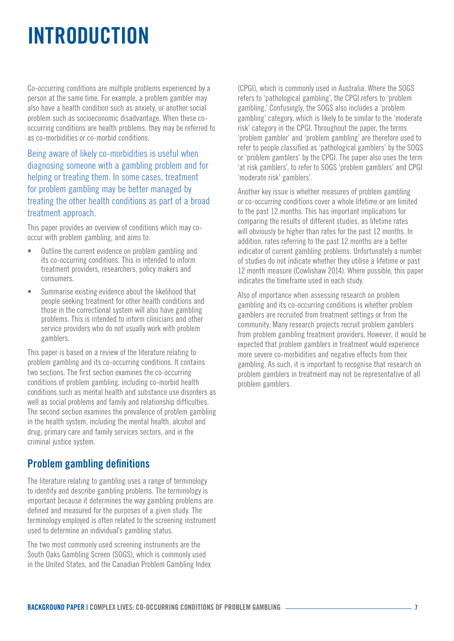## <span id="page-6-0"></span>INTRODUCTION

Co-occurring conditions are multiple problems experienced by a person at the same time. For example, a problem gambler may also have a health condition such as anxiety, or another social problem such as socioeconomic disadvantage. When these cooccurring conditions are health problems, they may be referred to as co-morbidities or co-morbid conditions.

Being aware of likely co-morbidities is useful when diagnosing someone with a gambling problem and for helping or treating them. In some cases, treatment for problem gambling may be better managed by treating the other health conditions as part of a broad treatment approach.

This paper provides an overview of conditions which may cooccur with problem gambling, and aims to:

- Outline the current evidence on problem gambling and its co-occurring conditions. This in intended to inform treatment providers, researchers, policy makers and consumers.
- Summarise existing evidence about the likelihood that people seeking treatment for other health conditions and those in the correctional system will also have gambling problems. This is intended to inform clinicians and other service providers who do not usually work with problem gamblers.

This paper is based on a review of the literature relating to problem gambling and its co-occurring conditions. It contains two sections. The first section examines the co-occurring conditions of problem gambling, including co-morbid health conditions such as mental health and substance use disorders as well as social problems and family and relationship difficulties. The second section examines the prevalence of problem gambling in the health system, including the mental health, alcohol and drug, primary care and family services sectors, and in the criminal justice system.

## Problem gambling definitions

The literature relating to gambling uses a range of terminology to identify and describe gambling problems. The terminology is important because it determines the way gambling problems are defined and measured for the purposes of a given study. The terminology employed is often related to the screening instrument used to determine an individual's gambling status.

The two most commonly used screening instruments are the South Oaks Gambling Screen (SOGS), which is commonly used in the United States, and the Canadian Problem Gambling Index (CPGI), which is commonly used in Australia. Where the SOGS refers to 'pathological gambling', the CPGI refers to 'problem gambling.' Confusingly, the SOGS also includes a 'problem gambling' category, which is likely to be similar to the 'moderate risk' category in the CPGI. Throughout the paper, the terms 'problem gambler' and 'problem gambling' are therefore used to refer to people classified as 'pathological gamblers' by the SOGS or 'problem gamblers' by the CPGI. The paper also uses the term 'at risk gamblers', to refer to SOGS 'problem gamblers' and CPGI 'moderate risk' gamblers'.

Another key issue is whether measures of problem gambling or co-occurring conditions cover a whole lifetime or are limited to the past 12 months. This has important implications for comparing the results of different studies, as lifetime rates will obviously be higher than rates for the past 12 months. In addition, rates referring to the past 12 months are a better indicator of current gambling problems. Unfortunately a number of studies do not indicate whether they utilise a lifetime or past 12 month measure (Cowlishaw 2014). Where possible, this paper indicates the timeframe used in each study.

Also of importance when assessing research on problem gambling and its co-occurring conditions is whether problem gamblers are recruited from treatment settings or from the community. Many research projects recruit problem gamblers from problem gambling treatment providers. However, it would be expected that problem gamblers in treatment would experience more severe co-morbidities and negative effects from their gambling. As such, it is important to recognise that research on problem gamblers in treatment may not be representative of all problem gamblers.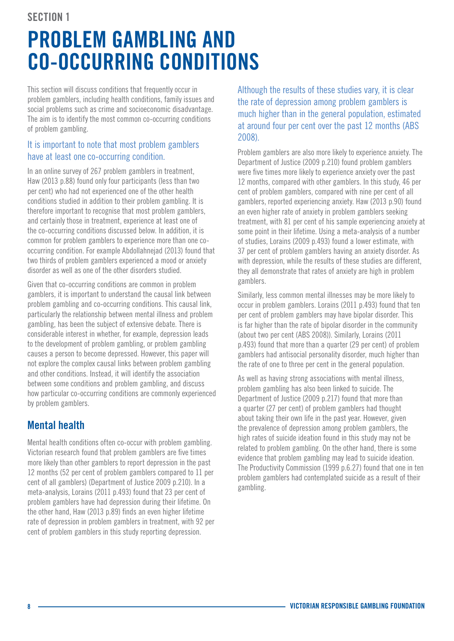#### <span id="page-7-0"></span>SECTION 1

# PROBLEM GAMBLING AND CO-OCCURRING CONDITIONS

This section will discuss conditions that frequently occur in problem gamblers, including health conditions, family issues and social problems such as crime and socioeconomic disadvantage. The aim is to identify the most common co-occurring conditions of problem gambling.

#### It is important to note that most problem gamblers have at least one co-occurring condition.

In an online survey of 267 problem gamblers in treatment, Haw (2013 p.88) found only four participants (less than two per cent) who had not experienced one of the other health conditions studied in addition to their problem gambling. It is therefore important to recognise that most problem gamblers, and certainly those in treatment, experience at least one of the co-occurring conditions discussed below. In addition, it is common for problem gamblers to experience more than one cooccurring condition. For example Abdollahnejad (2013) found that two thirds of problem gamblers experienced a mood or anxiety disorder as well as one of the other disorders studied.

Given that co-occurring conditions are common in problem gamblers, it is important to understand the causal link between problem gambling and co-occurring conditions. This causal link, particularly the relationship between mental illness and problem gambling, has been the subject of extensive debate. There is considerable interest in whether, for example, depression leads to the development of problem gambling, or problem gambling causes a person to become depressed. However, this paper will not explore the complex causal links between problem gambling and other conditions. Instead, it will identify the association between some conditions and problem gambling, and discuss how particular co-occurring conditions are commonly experienced by problem gamblers.

## Mental health

Mental health conditions often co-occur with problem gambling. Victorian research found that problem gamblers are five times more likely than other gamblers to report depression in the past 12 months (52 per cent of problem gamblers compared to 11 per cent of all gamblers) (Department of Justice 2009 p.210). In a meta-analysis, Lorains (2011 p.493) found that 23 per cent of problem gamblers have had depression during their lifetime. On the other hand, Haw (2013 p.89) finds an even higher lifetime rate of depression in problem gamblers in treatment, with 92 per cent of problem gamblers in this study reporting depression.

Although the results of these studies vary, it is clear the rate of depression among problem gamblers is much higher than in the general population, estimated at around four per cent over the past 12 months (ABS 2008).

Problem gamblers are also more likely to experience anxiety. The Department of Justice (2009 p.210) found problem gamblers were five times more likely to experience anxiety over the past 12 months, compared with other gamblers. In this study, 46 per cent of problem gamblers, compared with nine per cent of all gamblers, reported experiencing anxiety. Haw (2013 p.90) found an even higher rate of anxiety in problem gamblers seeking treatment, with 81 per cent of his sample experiencing anxiety at some point in their lifetime. Using a meta-analysis of a number of studies, Lorains (2009 p.493) found a lower estimate, with 37 per cent of problem gamblers having an anxiety disorder. As with depression, while the results of these studies are different, they all demonstrate that rates of anxiety are high in problem gamblers.

Similarly, less common mental illnesses may be more likely to occur in problem gamblers. Lorains (2011 p.493) found that ten per cent of problem gamblers may have bipolar disorder. This is far higher than the rate of bipolar disorder in the community (about two per cent (ABS 2008)). Similarly, Lorains (2011 p.493) found that more than a quarter (29 per cent) of problem gamblers had antisocial personality disorder, much higher than the rate of one to three per cent in the general population.

As well as having strong associations with mental illness, problem gambling has also been linked to suicide. The Department of Justice (2009 p.217) found that more than a quarter (27 per cent) of problem gamblers had thought about taking their own life in the past year. However, given the prevalence of depression among problem gamblers, the high rates of suicide ideation found in this study may not be related to problem gambling. On the other hand, there is some evidence that problem gambling may lead to suicide ideation. The Productivity Commission (1999 p.6.27) found that one in ten problem gamblers had contemplated suicide as a result of their gambling.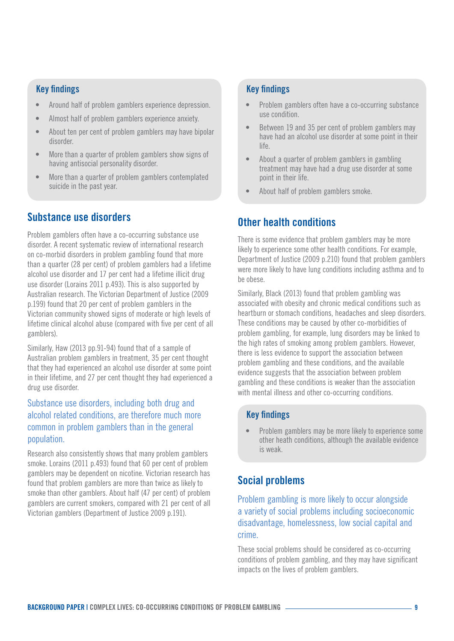#### <span id="page-8-0"></span>Key findings

- Around half of problem gamblers experience depression.
- Almost half of problem gamblers experience anxiety.
- About ten per cent of problem gamblers may have bipolar disorder.
- More than a quarter of problem gamblers show signs of having antisocial personality disorder.
- More than a quarter of problem gamblers contemplated suicide in the past year.

## Substance use disorders

Problem gamblers often have a co-occurring substance use disorder. A recent systematic review of international research on co-morbid disorders in problem gambling found that more than a quarter (28 per cent) of problem gamblers had a lifetime alcohol use disorder and 17 per cent had a lifetime illicit drug use disorder (Lorains 2011 p.493). This is also supported by Australian research. The Victorian Department of Justice (2009 p.199) found that 20 per cent of problem gamblers in the Victorian community showed signs of moderate or high levels of lifetime clinical alcohol abuse (compared with five per cent of all gamblers).

Similarly, Haw (2013 pp.91-94) found that of a sample of Australian problem gamblers in treatment, 35 per cent thought that they had experienced an alcohol use disorder at some point in their lifetime, and 27 per cent thought they had experienced a drug use disorder.

#### Substance use disorders, including both drug and alcohol related conditions, are therefore much more common in problem gamblers than in the general population.

Research also consistently shows that many problem gamblers smoke. Lorains (2011 p.493) found that 60 per cent of problem gamblers may be dependent on nicotine. Victorian research has found that problem gamblers are more than twice as likely to smoke than other gamblers. About half (47 per cent) of problem gamblers are current smokers, compared with 21 per cent of all Victorian gamblers (Department of Justice 2009 p.191).

#### Key findings

- Problem gamblers often have a co-occurring substance use condition.
- Between 19 and 35 per cent of problem gamblers may have had an alcohol use disorder at some point in their life.
- About a quarter of problem gamblers in gambling treatment may have had a drug use disorder at some point in their life.
- About half of problem gamblers smoke.

## Other health conditions

There is some evidence that problem gamblers may be more likely to experience some other health conditions. For example, Department of Justice (2009 p.210) found that problem gamblers were more likely to have lung conditions including asthma and to be obese.

Similarly, Black (2013) found that problem gambling was associated with obesity and chronic medical conditions such as heartburn or stomach conditions, headaches and sleep disorders. These conditions may be caused by other co-morbidities of problem gambling, for example, lung disorders may be linked to the high rates of smoking among problem gamblers. However, there is less evidence to support the association between problem gambling and these conditions, and the available evidence suggests that the association between problem gambling and these conditions is weaker than the association with mental illness and other co-occurring conditions.

#### Key findings

• Problem gamblers may be more likely to experience some other heath conditions, although the available evidence is weak.

## Social problems

Problem gambling is more likely to occur alongside a variety of social problems including socioeconomic disadvantage, homelessness, low social capital and crime.

These social problems should be considered as co-occurring conditions of problem gambling, and they may have significant impacts on the lives of problem gamblers.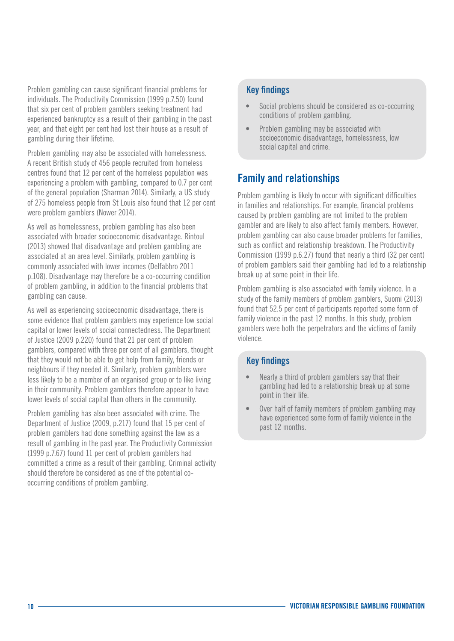<span id="page-9-0"></span>Problem gambling can cause significant financial problems for individuals. The Productivity Commission (1999 p.7.50) found that six per cent of problem gamblers seeking treatment had experienced bankruptcy as a result of their gambling in the past year, and that eight per cent had lost their house as a result of gambling during their lifetime.

Problem gambling may also be associated with homelessness. A recent British study of 456 people recruited from homeless centres found that 12 per cent of the homeless population was experiencing a problem with gambling, compared to 0.7 per cent of the general population (Sharman 2014). Similarly, a US study of 275 homeless people from St Louis also found that 12 per cent were problem gamblers (Nower 2014).

As well as homelessness, problem gambling has also been associated with broader socioeconomic disadvantage. Rintoul (2013) showed that disadvantage and problem gambling are associated at an area level. Similarly, problem gambling is commonly associated with lower incomes (Delfabbro 2011 p.108). Disadvantage may therefore be a co-occurring condition of problem gambling, in addition to the financial problems that gambling can cause.

As well as experiencing socioeconomic disadvantage, there is some evidence that problem gamblers may experience low social capital or lower levels of social connectedness. The Department of Justice (2009 p.220) found that 21 per cent of problem gamblers, compared with three per cent of all gamblers, thought that they would not be able to get help from family, friends or neighbours if they needed it. Similarly, problem gamblers were less likely to be a member of an organised group or to like living in their community. Problem gamblers therefore appear to have lower levels of social capital than others in the community.

Problem gambling has also been associated with crime. The Department of Justice (2009, p.217) found that 15 per cent of problem gamblers had done something against the law as a result of gambling in the past year. The Productivity Commission (1999 p.7.67) found 11 per cent of problem gamblers had committed a crime as a result of their gambling. Criminal activity should therefore be considered as one of the potential cooccurring conditions of problem gambling.

#### Key findings

- Social problems should be considered as co-occurring conditions of problem gambling.
- Problem gambling may be associated with socioeconomic disadvantage, homelessness, low social capital and crime.

## Family and relationships

Problem gambling is likely to occur with significant difficulties in families and relationships. For example, financial problems caused by problem gambling are not limited to the problem gambler and are likely to also affect family members. However, problem gambling can also cause broader problems for families, such as conflict and relationship breakdown. The Productivity Commission (1999 p.6.27) found that nearly a third (32 per cent) of problem gamblers said their gambling had led to a relationship break up at some point in their life.

Problem gambling is also associated with family violence. In a study of the family members of problem gamblers, Suomi (2013) found that 52.5 per cent of participants reported some form of family violence in the past 12 months. In this study, problem gamblers were both the perpetrators and the victims of family violence.

#### Key findings

- Nearly a third of problem gamblers say that their gambling had led to a relationship break up at some point in their life.
- Over half of family members of problem gambling may have experienced some form of family violence in the past 12 months.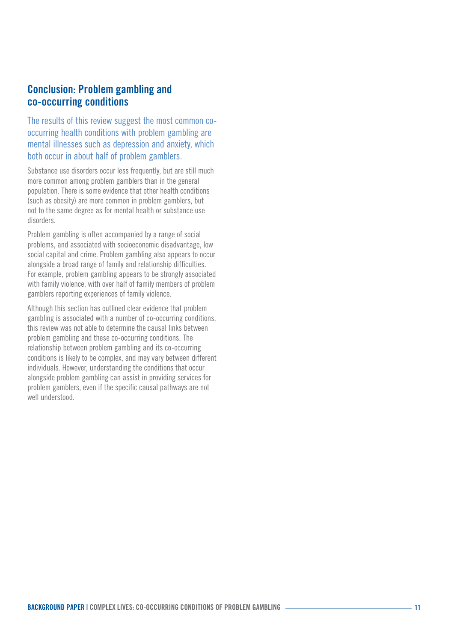### <span id="page-10-0"></span>Conclusion: Problem gambling and co-occurring conditions

The results of this review suggest the most common cooccurring health conditions with problem gambling are mental illnesses such as depression and anxiety, which both occur in about half of problem gamblers.

Substance use disorders occur less frequently, but are still much more common among problem gamblers than in the general population. There is some evidence that other health conditions (such as obesity) are more common in problem gamblers, but not to the same degree as for mental health or substance use disorders.

Problem gambling is often accompanied by a range of social problems, and associated with socioeconomic disadvantage, low social capital and crime. Problem gambling also appears to occur alongside a broad range of family and relationship difficulties. For example, problem gambling appears to be strongly associated with family violence, with over half of family members of problem gamblers reporting experiences of family violence.

Although this section has outlined clear evidence that problem gambling is associated with a number of co-occurring conditions, this review was not able to determine the causal links between problem gambling and these co-occurring conditions. The relationship between problem gambling and its co-occurring conditions is likely to be complex, and may vary between different individuals. However, understanding the conditions that occur alongside problem gambling can assist in providing services for problem gamblers, even if the specific causal pathways are not well understood.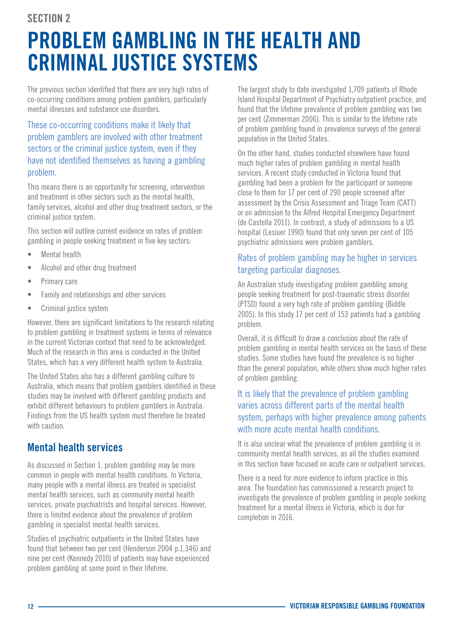### <span id="page-11-0"></span>SECTION 2

## PROBLEM GAMBLING IN THE HEALTH AND CRIMINAL JUSTICE SYSTEMS

The previous section identified that there are very high rates of co-occurring conditions among problem gamblers, particularly mental illnesses and substance use disorders.

#### These co-occurring conditions make it likely that problem gamblers are involved with other treatment sectors or the criminal justice system, even if they have not identified themselves as having a gambling problem.

This means there is an opportunity for screening, intervention and treatment in other sectors such as the mental health, family services, alcohol and other drug treatment sectors, or the criminal justice system.

This section will outline current evidence on rates of problem gambling in people seeking treatment in five key sectors:

- Mental health
- Alcohol and other drug treatment
- Primary care
- Family and relationships and other services
- Criminal justice system

However, there are significant limitations to the research relating to problem gambling in treatment systems in terms of relevance in the current Victorian context that need to be acknowledged. Much of the research in this area is conducted in the United States, which has a very different health system to Australia.

The United States also has a different gambling culture to Australia, which means that problem gamblers identified in these studies may be involved with different gambling products and exhibit different behaviours to problem gamblers in Australia. Findings from the US health system must therefore be treated with caution

## Mental health services

As discussed in Section 1, problem gambling may be more common in people with mental health conditions. In Victoria, many people with a mental illness are treated in specialist mental health services, such as community mental health services, private psychiatrists and hospital services. However, there is limited evidence about the prevalence of problem gambling in specialist mental health services.

Studies of psychiatric outpatients in the United States have found that between two per cent (Henderson 2004 p.1,346) and nine per cent (Kennedy 2010) of patients may have experienced problem gambling at some point in their lifetime.

The largest study to date investigated 1,709 patients of Rhode Island Hospital Department of Psychiatry outpatient practice, and found that the lifetime prevalence of problem gambling was two per cent (Zimmerman 2006). This is similar to the lifetime rate of problem gambling found in prevalence surveys of the general population in the United States.

On the other hand, studies conducted elsewhere have found much higher rates of problem gambling in mental health services. A recent study conducted in Victoria found that gambling had been a problem for the participant or someone close to them for 17 per cent of 290 people screened after assessment by the Crisis Assessment and Triage Team (CATT) or on admission to the Alfred Hospital Emergency Department (de Castella 2011). In contrast, a study of admissions to a US hospital (Lesiuer 1990) found that only seven per cent of 105 psychiatric admissions were problem gamblers.

#### Rates of problem gambling may be higher in services targeting particular diagnoses.

An Australian study investigating problem gambling among people seeking treatment for post-traumatic stress disorder (PTSD) found a very high rate of problem gambling (Biddle 2005). In this study 17 per cent of 153 patients had a gambling problem.

Overall, it is difficult to draw a conclusion about the rate of problem gambling in mental health services on the basis of these studies. Some studies have found the prevalence is no higher than the general population, while others show much higher rates of problem gambling.

#### It is likely that the prevalence of problem gambling varies across different parts of the mental health system, perhaps with higher prevalence among patients with more acute mental health conditions.

It is also unclear what the prevalence of problem gambling is in community mental health services, as all the studies examined in this section have focused on acute care or outpatient services.

There is a need for more evidence to inform practice in this area. The foundation has commissioned a research project to investigate the prevalence of problem gambling in people seeking treatment for a mental illness in Victoria, which is due for completion in 2016.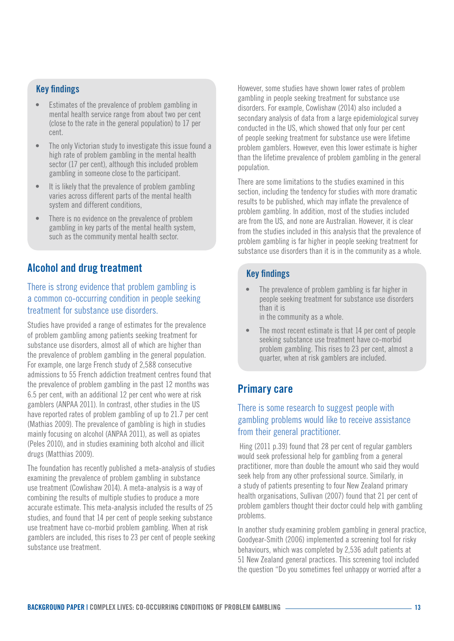#### <span id="page-12-0"></span>Key findings

- Estimates of the prevalence of problem gambling in mental health service range from about two per cent (close to the rate in the general population) to 17 per cent.
- The only Victorian study to investigate this issue found a high rate of problem gambling in the mental health sector (17 per cent), although this included problem gambling in someone close to the participant.
- It is likely that the prevalence of problem gambling varies across different parts of the mental health system and different conditions,
- There is no evidence on the prevalence of problem gambling in key parts of the mental health system, such as the community mental health sector.

## Alcohol and drug treatment

#### There is strong evidence that problem gambling is a common co-occurring condition in people seeking treatment for substance use disorders.

Studies have provided a range of estimates for the prevalence of problem gambling among patients seeking treatment for substance use disorders, almost all of which are higher than the prevalence of problem gambling in the general population. For example, one large French study of 2,588 consecutive admissions to 55 French addiction treatment centres found that the prevalence of problem gambling in the past 12 months was 6.5 per cent, with an additional 12 per cent who were at risk gamblers (ANPAA 2011). In contrast, other studies in the US have reported rates of problem gambling of up to 21.7 per cent (Mathias 2009). The prevalence of gambling is high in studies mainly focusing on alcohol (ANPAA 2011), as well as opiates (Peles 2010), and in studies examining both alcohol and illicit drugs (Matthias 2009).

The foundation has recently published a meta-analysis of studies examining the prevalence of problem gambling in substance use treatment (Cowlishaw 2014). A meta-analysis is a way of combining the results of multiple studies to produce a more accurate estimate. This meta-analysis included the results of 25 studies, and found that 14 per cent of people seeking substance use treatment have co-morbid problem gambling. When at risk gamblers are included, this rises to 23 per cent of people seeking substance use treatment.

However, some studies have shown lower rates of problem gambling in people seeking treatment for substance use disorders. For example, Cowlishaw (2014) also included a secondary analysis of data from a large epidemiological survey conducted in the US, which showed that only four per cent of people seeking treatment for substance use were lifetime problem gamblers. However, even this lower estimate is higher than the lifetime prevalence of problem gambling in the general population.

There are some limitations to the studies examined in this section, including the tendency for studies with more dramatic results to be published, which may inflate the prevalence of problem gambling. In addition, most of the studies included are from the US, and none are Australian. However, it is clear from the studies included in this analysis that the prevalence of problem gambling is far higher in people seeking treatment for substance use disorders than it is in the community as a whole.

#### Key findings

- The prevalence of problem gambling is far higher in people seeking treatment for substance use disorders than it is in the community as a whole.
- The most recent estimate is that 14 per cent of people seeking substance use treatment have co-morbid problem gambling. This rises to 23 per cent, almost a quarter, when at risk gamblers are included.

### Primary care

#### There is some research to suggest people with gambling problems would like to receive assistance from their general practitioner.

 Hing (2011 p.39) found that 28 per cent of regular gamblers would seek professional help for gambling from a general practitioner, more than double the amount who said they would seek help from any other professional source. Similarly, in a study of patients presenting to four New Zealand primary health organisations, Sullivan (2007) found that 21 per cent of problem gamblers thought their doctor could help with gambling problems.

In another study examining problem gambling in general practice, Goodyear-Smith (2006) implemented a screening tool for risky behaviours, which was completed by 2,536 adult patients at 51 New Zealand general practices. This screening tool included the question "Do you sometimes feel unhappy or worried after a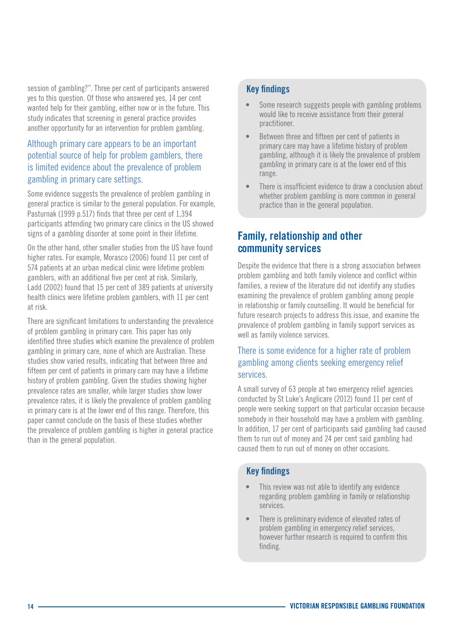session of gambling?". Three per cent of participants answered yes to this question. Of those who answered yes, 14 per cent wanted help for their gambling, either now or in the future. This study indicates that screening in general practice provides another opportunity for an intervention for problem gambling.

#### Although primary care appears to be an important potential source of help for problem gamblers, there is limited evidence about the prevalence of problem gambling in primary care settings.

Some evidence suggests the prevalence of problem gambling in general practice is similar to the general population. For example, Pasturnak (1999 p.517) finds that three per cent of 1,394 participants attending two primary care clinics in the US showed signs of a gambling disorder at some point in their lifetime.

On the other hand, other smaller studies from the US have found higher rates. For example, Morasco (2006) found 11 per cent of 574 patients at an urban medical clinic were lifetime problem gamblers, with an additional five per cent at risk. Similarly, Ladd (2002) found that 15 per cent of 389 patients at university health clinics were lifetime problem gamblers, with 11 per cent at risk.

There are significant limitations to understanding the prevalence of problem gambling in primary care. This paper has only identified three studies which examine the prevalence of problem gambling in primary care, none of which are Australian. These studies show varied results, indicating that between three and fifteen per cent of patients in primary care may have a lifetime history of problem gambling. Given the studies showing higher prevalence rates are smaller, while larger studies show lower prevalence rates, it is likely the prevalence of problem gambling in primary care is at the lower end of this range. Therefore, this paper cannot conclude on the basis of these studies whether the prevalence of problem gambling is higher in general practice than in the general population.

#### Key findings

- Some research suggests people with gambling problems would like to receive assistance from their general practitioner.
- Between three and fifteen per cent of patients in primary care may have a lifetime history of problem gambling, although it is likely the prevalence of problem gambling in primary care is at the lower end of this range.
- There is insufficient evidence to draw a conclusion about whether problem gambling is more common in general practice than in the general population.

## Family, relationship and other community services

Despite the evidence that there is a strong association between problem gambling and both family violence and conflict within families, a review of the literature did not identify any studies examining the prevalence of problem gambling among people in relationship or family counselling. It would be beneficial for future research projects to address this issue, and examine the prevalence of problem gambling in family support services as well as family violence services.

#### There is some evidence for a higher rate of problem gambling among clients seeking emergency relief services.

A small survey of 63 people at two emergency relief agencies conducted by St Luke's Anglicare (2012) found 11 per cent of people were seeking support on that particular occasion because somebody in their household may have a problem with gambling. In addition, 17 per cent of participants said gambling had caused them to run out of money and 24 per cent said gambling had caused them to run out of money on other occasions.

#### Key findings

- This review was not able to identify any evidence regarding problem gambling in family or relationship services.
- There is preliminary evidence of elevated rates of problem gambling in emergency relief services, however further research is required to confirm this finding.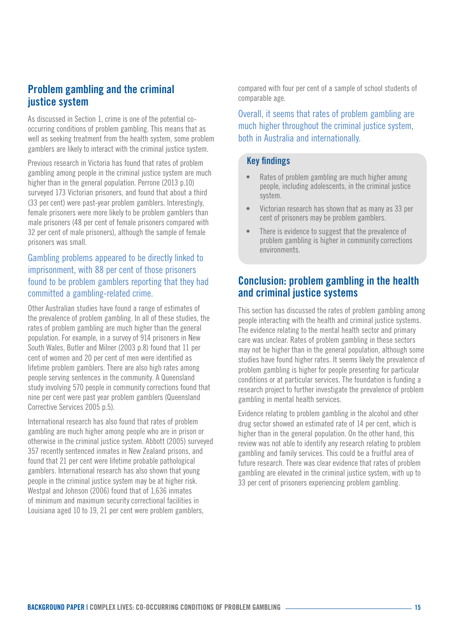### <span id="page-14-0"></span>Problem gambling and the criminal justice system

As discussed in Section 1, crime is one of the potential cooccurring conditions of problem gambling. This means that as well as seeking treatment from the health system, some problem gamblers are likely to interact with the criminal justice system.

Previous research in Victoria has found that rates of problem gambling among people in the criminal justice system are much higher than in the general population. Perrone (2013 p.10) surveyed 173 Victorian prisoners, and found that about a third (33 per cent) were past-year problem gamblers. Interestingly, female prisoners were more likely to be problem gamblers than male prisoners (48 per cent of female prisoners compared with 32 per cent of male prisoners), although the sample of female prisoners was small.

#### Gambling problems appeared to be directly linked to imprisonment, with 88 per cent of those prisoners found to be problem gamblers reporting that they had committed a gambling-related crime.

Other Australian studies have found a range of estimates of the prevalence of problem gambling. In all of these studies, the rates of problem gambling are much higher than the general population. For example, in a survey of 914 prisoners in New South Wales, Butler and Milner (2003 p.8) found that 11 per cent of women and 20 per cent of men were identified as lifetime problem gamblers. There are also high rates among people serving sentences in the community. A Queensland study involving 570 people in community corrections found that nine per cent were past year problem gamblers (Queensland Corrective Services 2005 p.5).

International research has also found that rates of problem gambling are much higher among people who are in prison or otherwise in the criminal justice system. Abbott (2005) surveyed 357 recently sentenced inmates in New Zealand prisons, and found that 21 per cent were lifetime probable pathological gamblers. International research has also shown that young people in the criminal justice system may be at higher risk. Westpal and Johnson (2006) found that of 1,636 inmates of minimum and maximum security correctional facilities in Louisiana aged 10 to 19, 21 per cent were problem gamblers,

compared with four per cent of a sample of school students of comparable age.

Overall, it seems that rates of problem gambling are much higher throughout the criminal justice system, both in Australia and internationally.

#### Key findings

- Rates of problem gambling are much higher among people, including adolescents, in the criminal justice system.
- Victorian research has shown that as many as 33 per cent of prisoners may be problem gamblers.
- There is evidence to suggest that the prevalence of problem gambling is higher in community corrections environments.

### Conclusion: problem gambling in the health and criminal justice systems

This section has discussed the rates of problem gambling among people interacting with the health and criminal justice systems. The evidence relating to the mental health sector and primary care was unclear. Rates of problem gambling in these sectors may not be higher than in the general population, although some studies have found higher rates. It seems likely the prevalence of problem gambling is higher for people presenting for particular conditions or at particular services. The foundation is funding a research project to further investigate the prevalence of problem gambling in mental health services.

Evidence relating to problem gambling in the alcohol and other drug sector showed an estimated rate of 14 per cent, which is higher than in the general population. On the other hand, this review was not able to identify any research relating to problem gambling and family services. This could be a fruitful area of future research. There was clear evidence that rates of problem gambling are elevated in the criminal justice system, with up to 33 per cent of prisoners experiencing problem gambling.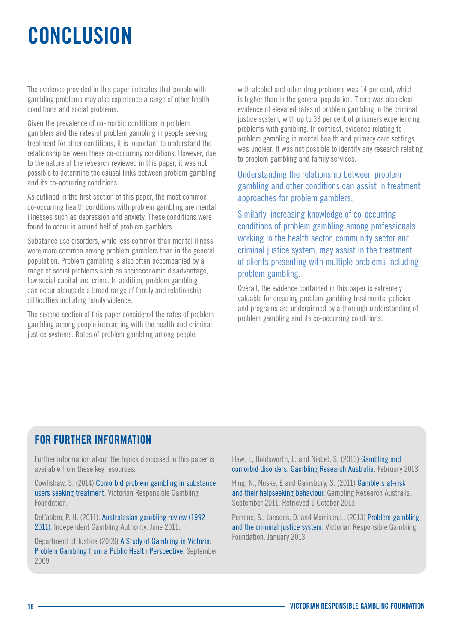# <span id="page-15-0"></span>CONCLUSION

The evidence provided in this paper indicates that people with gambling problems may also experience a range of other health conditions and social problems.

Given the prevalence of co-morbid conditions in problem gamblers and the rates of problem gambling in people seeking treatment for other conditions, it is important to understand the relationship between these co-occurring conditions. However, due to the nature of the research reviewed in this paper, it was not possible to determine the causal links between problem gambling and its co-occurring conditions.

As outlined in the first section of this paper, the most common co-occurring health conditions with problem gambling are mental illnesses such as depression and anxiety. These conditions were found to occur in around half of problem gamblers.

Substance use disorders, while less common than mental illness, were more common among problem gamblers than in the general population. Problem gambling is also often accompanied by a range of social problems such as socioeconomic disadvantage, low social capital and crime. In addition, problem gambling can occur alongside a broad range of family and relationship difficulties including family violence.

The second section of this paper considered the rates of problem gambling among people interacting with the health and criminal justice systems. Rates of problem gambling among people

with alcohol and other drug problems was 14 per cent, which is higher than in the general population. There was also clear evidence of elevated rates of problem gambling in the criminal justice system, with up to 33 per cent of prisoners experiencing problems with gambling. In contrast, evidence relating to problem gambling in mental health and primary care settings was unclear. It was not possible to identify any research relating to problem gambling and family services.

#### Understanding the relationship between problem gambling and other conditions can assist in treatment approaches for problem gamblers.

Similarly, increasing knowledge of co-occurring conditions of problem gambling among professionals working in the health sector, community sector and criminal justice system, may assist in the treatment of clients presenting with multiple problems including problem gambling.

Overall, the evidence contained in this paper is extremely valuable for ensuring problem gambling treatments, policies and programs are underpinned by a thorough understanding of problem gambling and its co-occurring conditions.

## FOR FURTHER INFORMATION

Further information about the topics discussed in this paper is available from these key resources:

Cowlishaw, S. (2014) [Comorbid problem gambling in substance](http://www.responsiblegambling.vic.gov.au/sites/default/files/Research-report-Cowlishaw-Feb-14.pdf)  [users seeking treatment.](http://www.responsiblegambling.vic.gov.au/sites/default/files/Research-report-Cowlishaw-Feb-14.pdf) Victorian Responsible Gambling Foundation.

Delfabbro, P. H. (2011). Australasian gambling review (1992– 2011). Independent Gambling Authority. June 2011.

Department of Justice (2009) [A Study of Gambling in Victoria:](http://www.responsiblegambling.vic.gov.au/giro/research/research-undertaken-department-justice)  [Problem Gambling from a Public Health Perspective.](http://www.responsiblegambling.vic.gov.au/giro/research/research-undertaken-department-justice) September 2009.

Haw, J., Holdsworth, L. and Nisbet, S. (2013) [Gambling and](http://www.gamblingresearch.org.au/home/research/gra+research+reports/gambling+and+co-morbid+disorders+2013+pdf)  [comorbid disorders. Gambling Research Australia](http://www.gamblingresearch.org.au/home/research/gra+research+reports/gambling+and+co-morbid+disorders+2013+pdf). February 2013

Hing, N., Nuske, E and Gainsbury, S. (2011) [Gamblers at-risk](http://www.gamblingresearch.org.au/home/research/gra+research+reports/gamblers+at+risk+and+their+help+seeking+behaviour+%282011%29)  [and their helpseeking behaviour](http://www.gamblingresearch.org.au/home/research/gra+research+reports/gamblers+at+risk+and+their+help+seeking+behaviour+%282011%29). Gambling Research Australia. September 2011. Retrieved 1 October 2013.

Perrone, S., Jansons, D. and Morrison,L. (2013) [Problem gambling](http://www.responsiblegambling.vic.gov.au/sites/default/files/CD-13-36544-Report-Problem-Gambling-Criminal-Justice-Full-web.pdf)  [and the criminal justice system](http://www.responsiblegambling.vic.gov.au/sites/default/files/CD-13-36544-Report-Problem-Gambling-Criminal-Justice-Full-web.pdf). Victorian Responsible Gambling Foundation. January 2013.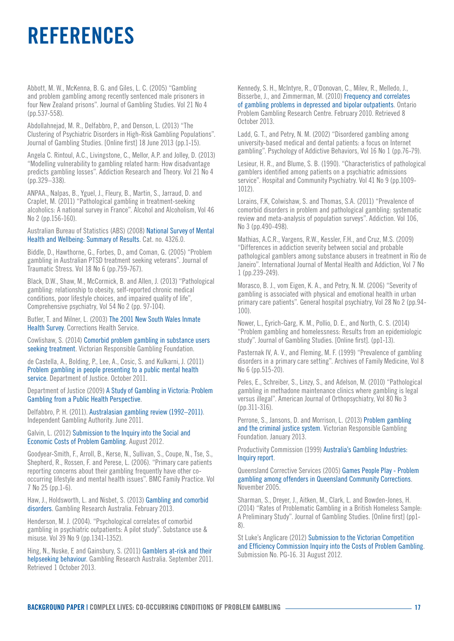## **REFERENCES**

Abbott, M. W., McKenna, B. G. and Giles, L. C. (2005) "Gambling and problem gambling among recently sentenced male prisoners in four New Zealand prisons". Journal of Gambling Studies. Vol 21 No 4 (pp.537-558).

Abdollahnejad, M. R., Delfabbro, P., and Denson, L. (2013) "The Clustering of Psychiatric Disorders in High-Risk Gambling Populations". Journal of Gambling Studies. [Online first] 18 June 2013 (pp.1-15).

Angela C. Rintoul, A.C., Livingstone, C., Mellor, A.P. and Jolley, D. (2013) "Modelling vulnerability to gambling related harm: How disadvantage predicts gambling losses". Addiction Research and Theory. Vol 21 No 4 (pp.329–338).

ANPAA., Nalpas, B., Yguel, J., Fleury, B., Martin, S., Jarraud, D. and Craplet, M. (2011) "Pathological gambling in treatment-seeking alcoholics: A national survey in France". Alcohol and Alcoholism, Vol 46 No 2 (pp.156-160).

#### Australian Bureau of Statistics (ABS) (2008) [National Survey of Mental](http://www.abs.gov.au/ausstats/abs@.nsf/Latestproducts/4326.0Main Features32007?opendocument&tabname=Summary&prodno=4326.0&issue=2007&num=&view)  [Health and Wellbeing: Summary of Results.](http://www.abs.gov.au/ausstats/abs@.nsf/Latestproducts/4326.0Main Features32007?opendocument&tabname=Summary&prodno=4326.0&issue=2007&num=&view) Cat. no. 4326.0.

Biddle, D., Hawthorne, G., Forbes, D., amd Coman, G. (2005) "Problem gambling in Australian PTSD treatment seeking veterans". Journal of Traumatic Stress. Vol 18 No 6 (pp.759-767).

Black, D.W., Shaw, M., McCormick, B. and Allen, J. (2013) "Pathological gambling: relationship to obesity, self-reported chronic medical conditions, poor lifestyle choices, and impaired quality of life", Comprehensive psychiatry, Vol 54 No 2 (pp. 97-104).

Butler, T. and Milner, L. (2003) [The 2001 New South Wales Inmate](http://www.nobars.org.au/downloads/Inmate_Health_Survey_2001.pdf)  [Health Survey.](http://www.nobars.org.au/downloads/Inmate_Health_Survey_2001.pdf) Corrections Health Service.

Cowlishaw, S. (2014) [Comorbid problem gambling in substance users](http://www.responsiblegambling.vic.gov.au/sites/default/files/Research-report-Cowlishaw-Feb-14.pdf)  [seeking treatment.](http://www.responsiblegambling.vic.gov.au/sites/default/files/Research-report-Cowlishaw-Feb-14.pdf) Victorian Responsible Gambling Foundation.

de Castella, A., Bolding, P., Lee, A., Cosic, S. and Kulkarni, J. (2011) [Problem gambling in people presenting to a public mental health](http://www.responsiblegambling.vic.gov.au/giro/research/research-undertaken-department-justice)  [service.](http://www.responsiblegambling.vic.gov.au/giro/research/research-undertaken-department-justice) Department of Justice. October 2011.

Department of Justice (2009) [A Study of Gambling in Victoria: Problem](http://www.responsiblegambling.vic.gov.au/giro/research/research-undertaken-department-justice)  [Gambling from a Public Health Perspective](http://www.responsiblegambling.vic.gov.au/giro/research/research-undertaken-department-justice).

Delfabbro, P. H. (2011). [Australasian gambling review \(1992–2011\).](http://www.iga.sa.gov.au/pdf/agr-2011-5.pdf) Independent Gambling Authority. June 2011.

Galvin, L. (2012) [Submission to the Inquiry into the Social and](http://www.vcec.vic.gov.au/CA256EAF001C7B21/pages/vcec-inquiries-current-inquiry-into-the-social---economic-costs-of-problem-gambling-submissions)  [Economic Costs of Problem Gambling.](http://www.vcec.vic.gov.au/CA256EAF001C7B21/pages/vcec-inquiries-current-inquiry-into-the-social---economic-costs-of-problem-gambling-submissions) August 2012.

Goodyear-Smith, F., Arroll, B., Kerse, N., Sullivan, S., Coupe, N., Tse, S., Shepherd, R., Rossen, F. and Perese, L. (2006). "Primary care patients reporting concerns about their gambling frequently have other cooccurring lifestyle and mental health issues". BMC Family Practice. Vol 7 No 25 (pp.1-6).

Haw, J., Holdsworth, L. and Nisbet, S. (2013) [Gambling and comorbid](http://www.gamblingresearch.org.au/home/research/gra+research+reports/gambling+and+co-morbid+disorders+2013+pdf)  [disorders.](http://www.gamblingresearch.org.au/home/research/gra+research+reports/gambling+and+co-morbid+disorders+2013+pdf) Gambling Research Australia. February 2013.

Henderson, M. J. (2004). "Psychological correlates of comorbid gambling in psychiatric outpatients: A pilot study". Substance use & misuse. Vol 39 No 9 (pp.1341-1352).

Hing, N., Nuske, E and Gainsbury, S. (2011) [Gamblers at-risk and their](http://www.gamblingresearch.org.au/home/research/gra+research+reports/gamblers+at+risk+and+their+help+seeking+behaviour+%282011%29)  [helpseeking behaviour.](http://www.gamblingresearch.org.au/home/research/gra+research+reports/gamblers+at+risk+and+their+help+seeking+behaviour+%282011%29) Gambling Research Australia. September 2011. Retrieved 1 October 2013.

Kennedy, S. H., McIntyre, R., O'Donovan, C., Milev, R., Melledo, J., Bisserbe, J., and Zimmerman, M. (2010) [Frequency and correlates](http://www.gamblingresearch.org/content/research.php?appid=2368)  [of gambling problems in depressed and bipolar outpatients](http://www.gamblingresearch.org/content/research.php?appid=2368). Ontario Problem Gambling Research Centre. February 2010. Retrieved 8 October 2013.

Ladd, G. T., and Petry, N. M. (2002) "Disordered gambling among university-based medical and dental patients: a focus on Internet gambling". Psychology of Addictive Behaviors, Vol 16 No 1 (pp.76-79).

Lesieur, H. R., and Blume, S. B. (1990). "Characteristics of pathological gamblers identified among patients on a psychiatric admissions service". Hospital and Community Psychiatry. Vol 41 No 9 (pp.1009-1012).

Lorains, F.K, Colwishaw, S. and Thomas, S.A. (2011) "Prevalence of comorbid disorders in problem and pathological gambling: systematic review and meta-analysis of population surveys". Addiction. Vol 106, No 3 (pp.490-498).

Mathias, A.C.R., Vargens, R.W., Kessler, F.H., and Cruz, M.S. (2009) "Differences in addiction severity between social and probable pathological gamblers among substance abusers in treatment in Rio de Janeiro". International Journal of Mental Health and Addiction, Vol 7 No 1 (pp.239-249).

Morasco, B. J., vom Eigen, K. A., and Petry, N. M. (2006) "Severity of gambling is associated with physical and emotional health in urban primary care patients". General hospital psychiatry, Vol 28 No 2 (pp.94- 100).

Nower, L., Eyrich-Garg, K. M., Pollio, D. E., and North, C. S. (2014) "Problem gambling and homelessness: Results from an epidemiologic study". Journal of Gambling Studies. [Online first]. (pp1-13).

Pasternak IV, A. V., and Fleming, M. F. (1999) "Prevalence of gambling disorders in a primary care setting". Archives of Family Medicine, Vol 8 No 6 (pp.515-20).

Peles, E., Schreiber, S., Linzy, S., and Adelson, M. (2010) "Pathological gambling in methadone maintenance clinics where gambling is legal versus illegal". American Journal of Orthopsychiatry, Vol 80 No 3 (pp.311-316).

Perrone, S., Jansons, D. and Morrison, L. (2013) [Problem gambling](http://www.responsiblegambling.vic.gov.au/sites/default/files/CD-13-36544-Report-Problem-Gambling-Criminal-Justice-Full-web.pdf)  [and the criminal justice system.](http://www.responsiblegambling.vic.gov.au/sites/default/files/CD-13-36544-Report-Problem-Gambling-Criminal-Justice-Full-web.pdf) Victorian Responsible Gambling Foundation. January 2013.

Productivity Commission (1999) [Australia's Gambling Industries:](http://pc.gov.au/projects/inquiry/gambling/docs/report)  [Inquiry report.](http://pc.gov.au/projects/inquiry/gambling/docs/report)

Queensland Corrective Services (2005) [Games People Play - Problem](http://www.olgr.qld.gov.au/resources/responsibleGamblingDocuments/gamesPeoplePlay.pdf)  [gambling among offenders in Queensland Community Corrections.](http://www.olgr.qld.gov.au/resources/responsibleGamblingDocuments/gamesPeoplePlay.pdf) November 2005.

Sharman, S., Dreyer, J., Aitken, M., Clark, L. and Bowden-Jones, H. (2014) "Rates of Problematic Gambling in a British Homeless Sample: A Preliminary Study". Journal of Gambling Studies. [Online first] (pp1- 8).

St Luke's Anglicare (2012) [Submission to the Victorian Competition](http://www.vcec.vic.gov.au/CA256EAF001C7B21/pages/vcec-inquiries-current-inquiry-into-the-social---economic-costs-of-problem-gambling-submissions)  [and Efficiency Commission Inquiry into the Costs of Problem Gambling](http://www.vcec.vic.gov.au/CA256EAF001C7B21/pages/vcec-inquiries-current-inquiry-into-the-social---economic-costs-of-problem-gambling-submissions). Submission No. PG-16. 31 August 2012.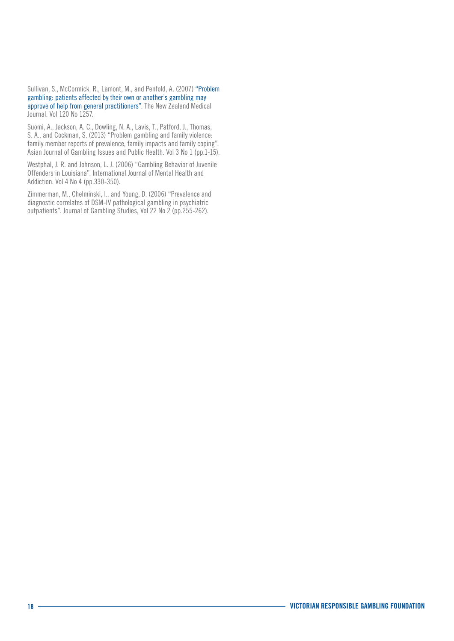Sullivan, S., McCormick, R., Lamont, M., and Penfold, A. (2007) ["Problem](http://journal.nzma.org.nz/journal/120-1257/2605/)  [gambling: patients affected by their own or another's gambling may](http://journal.nzma.org.nz/journal/120-1257/2605/)  [approve of help from general practitioners".](http://journal.nzma.org.nz/journal/120-1257/2605/) The New Zealand Medical Journal. Vol 120 No 1257.

Suomi, A., Jackson, A. C., Dowling, N. A., Lavis, T., Patford, J., Thomas, S. A., and Cockman, S. (2013) "Problem gambling and family violence: family member reports of prevalence, family impacts and family coping". Asian Journal of Gambling Issues and Public Health. Vol 3 No 1 (pp.1-15).

Westphal, J. R. and Johnson, L. J. (2006) "Gambling Behavior of Juvenile Offenders in Louisiana". International Journal of Mental Health and Addiction. Vol 4 No 4 (pp.330-350).

Zimmerman, M., Chelminski, I., and Young, D. (2006) "Prevalence and diagnostic correlates of DSM-IV pathological gambling in psychiatric outpatients". Journal of Gambling Studies, Vol 22 No 2 (pp.255-262).